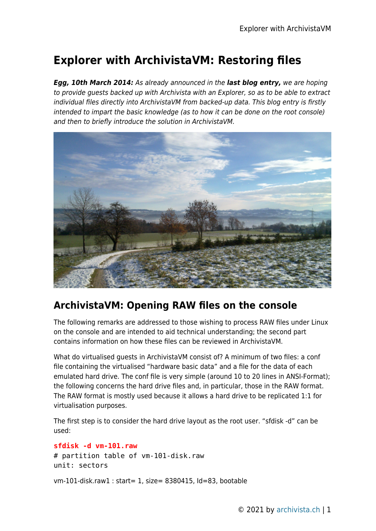## **Explorer with ArchivistaVM: Restoring files**

*Egg, 10th March 2014:* As already announced in the *last blog entry,* we are hoping to provide guests backed up with Archivista with an Explorer, so as to be able to extract individual files directly into ArchivistaVM from backed-up data. This blog entry is firstly intended to impart the basic knowledge (as to how it can be done on the root console) and then to briefly introduce the solution in ArchivistaVM.



## **ArchivistaVM: Opening RAW files on the console**

The following remarks are addressed to those wishing to process RAW files under Linux on the console and are intended to aid technical understanding; the second part contains information on how these files can be reviewed in ArchivistaVM.

What do virtualised guests in ArchivistaVM consist of? A minimum of two files: a conf file containing the virtualised "hardware basic data" and a file for the data of each emulated hard drive. The conf file is very simple (around 10 to 20 lines in ANSI-Format); the following concerns the hard drive files and, in particular, those in the RAW format. The RAW format is mostly used because it allows a hard drive to be replicated 1:1 for virtualisation purposes.

The first step is to consider the hard drive layout as the root user. "sfdisk -d" can be used:

```
sfdisk -d vm-101.raw
# partition table of vm-101-disk.raw
unit: sectors
```
vm-101-disk.raw1 : start= 1, size= 8380415, Id=83, bootable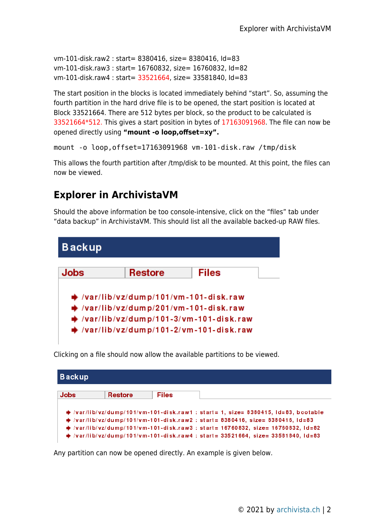```
vm-101-disk.raw2 : start= 8380416, size= 8380416, Id=83
vm-101-disk.raw3 : start= 16760832, size= 16760832, Id=82
vm-101-disk.raw4 : start= 33521664, size= 33581840, Id=83
```
The start position in the blocks is located immediately behind "start". So, assuming the fourth partition in the hard drive file is to be opened, the start position is located at Block 33521664. There are 512 bytes per block, so the product to be calculated is 33521664\*512. This gives a start position in bytes of 17163091968. The file can now be opened directly using **"mount -o loop,offset=xy".**

```
mount -o loop,offset=17163091968 vm-101-disk.raw /tmp/disk
```
This allows the fourth partition after /tmp/disk to be mounted. At this point, the files can now be viewed.

## **Explorer in ArchivistaVM**

Should the above information be too console-intensive, click on the "files" tab under "data backup" in ArchivistaVM. This should list all the available backed-up RAW files.



Clicking on a file should now allow the available partitions to be viewed.

| <b>Backup</b> |                |              |                                                                                                |  |  |  |
|---------------|----------------|--------------|------------------------------------------------------------------------------------------------|--|--|--|
| <b>Jobs</b>   | <b>Restore</b> | <b>Files</b> |                                                                                                |  |  |  |
|               |                |              | $\rightarrow$ /var/lib/vz/dump/101/vm-101-disk.raw1 : start= 1, size= 8380415, Id=83, bootable |  |  |  |
|               |                |              | → /var/lib/vz/dump/101/vm-101-disk.raw2 : start= 8380416, size= 8380416, ld=83                 |  |  |  |
|               |                |              | → /var/lib/vz/dump/101/vm-101-disk.raw3 : start= 16760832, size= 16760832, ld=82               |  |  |  |
|               |                |              | → /var/lib/vz/dump/101/vm-101-disk.raw4 : start= 33521664, size= 33581840, ld=83               |  |  |  |

Any partition can now be opened directly. An example is given below.